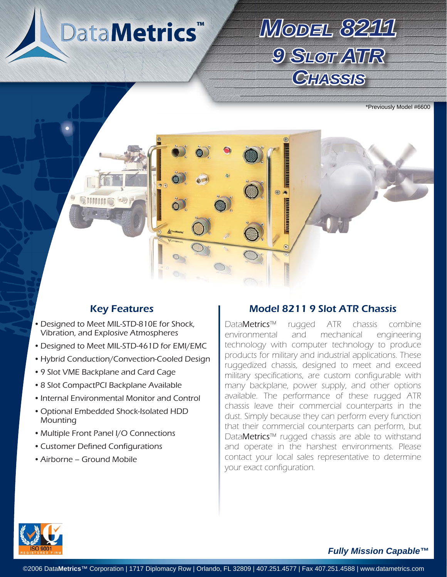DataMetrics<sup>™</sup>



\*Previously Model #6600

# $\bigcirc$

- Designed to Meet MIL-STD-810E for Shock, Vibration, and Explosive Atmospheres
- Designed to Meet MIL-STD-461D for EMI/EMC
- Hybrid Conduction/Convection-Cooled Design
- 9 Slot VME Backplane and Card Cage •
- 8 Slot CompactPCI Backplane Available
- Internal Environmental Monitor and Control
- Optional Embedded Shock-Isolated HDD **Mounting**
- Multiple Front Panel I/O Connections
- Customer Defined Configurations •
- Airborne Ground Mobile •

### Key Features **Model 8211 9 Slot ATR Chassis**

DataMetrics™ rugged ATR chassis combine environmental and mechanical engineering technology with computer technology to produce products for military and industrial applications. These ruggedized chassis, designed to meet and exceed military specifications, are custom configurable with many backplane, power supply, and other options available. The performance of these rugged ATR chassis leave their commercial counterparts in the dust. Simply because they can perform every function that their commercial counterparts can perform, but DataMetrics™ rugged chassis are able to withstand and operate in the harshest environments. Please contact your local sales representative to determine your exact configuration.



### *Fully Mission Capable™*